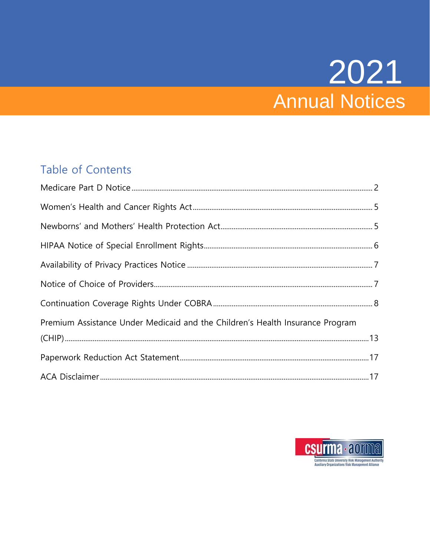# 2021 **Annual Notices**

#### Table of Contents

| Premium Assistance Under Medicaid and the Children's Health Insurance Program |  |
|-------------------------------------------------------------------------------|--|
|                                                                               |  |
|                                                                               |  |
|                                                                               |  |

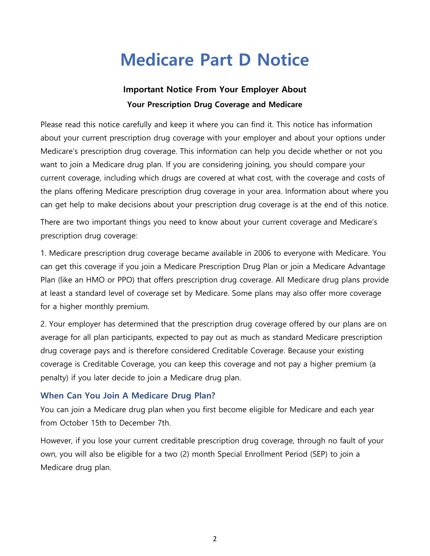## **Medicare Part D Notice**

#### **Important Notice From Your Employer About Your Prescription Drug Coverage and Medicare**

<span id="page-1-0"></span>Please read this notice carefully and keep it where you can find it. This notice has information about your current prescription drug coverage with your employer and about your options under Medicare's prescription drug coverage. This information can help you decide whether or not you want to join a Medicare drug plan. If you are considering joining, you should compare your current coverage, including which drugs are covered at what cost, with the coverage and costs of the plans offering Medicare prescription drug coverage in your area. Information about where you can get help to make decisions about your prescription drug coverage is at the end of this notice.

There are two important things you need to know about your current coverage and Medicare's prescription drug coverage:

1. Medicare prescription drug coverage became available in 2006 to everyone with Medicare. You can get this coverage if you join a Medicare Prescription Drug Plan or join a Medicare Advantage Plan (like an HMO or PPO) that offers prescription drug coverage. All Medicare drug plans provide at least a standard level of coverage set by Medicare. Some plans may also offer more coverage for a higher monthly premium.

2. Your employer has determined that the prescription drug coverage offered by our plans are on average for all plan participants, expected to pay out as much as standard Medicare prescription drug coverage pays and is therefore considered Creditable Coverage. Because your existing coverage is Creditable Coverage, you can keep this coverage and not pay a higher premium (a penalty) if you later decide to join a Medicare drug plan.

#### **When Can You Join A Medicare Drug Plan?**

You can join a Medicare drug plan when you first become eligible for Medicare and each year from October 15th to December 7th.

However, if you lose your current creditable prescription drug coverage, through no fault of your own, you will also be eligible for a two (2) month Special Enrollment Period (SEP) to join a Medicare drug plan.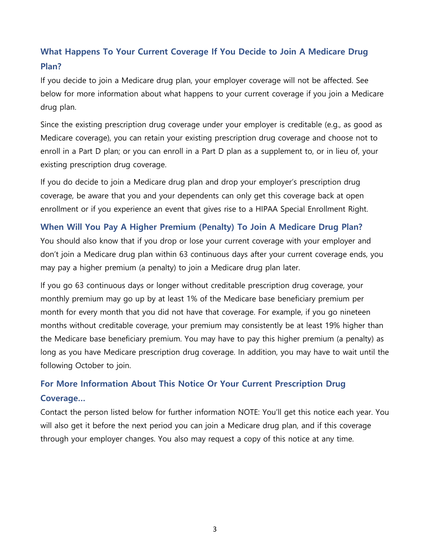#### **What Happens To Your Current Coverage If You Decide to Join A Medicare Drug Plan?**

If you decide to join a Medicare drug plan, your employer coverage will not be affected. See below for more information about what happens to your current coverage if you join a Medicare drug plan.

Since the existing prescription drug coverage under your employer is creditable (e.g., as good as Medicare coverage), you can retain your existing prescription drug coverage and choose not to enroll in a Part D plan; or you can enroll in a Part D plan as a supplement to, or in lieu of, your existing prescription drug coverage.

If you do decide to join a Medicare drug plan and drop your employer's prescription drug coverage, be aware that you and your dependents can only get this coverage back at open enrollment or if you experience an event that gives rise to a HIPAA Special Enrollment Right.

#### **When Will You Pay A Higher Premium (Penalty) To Join A Medicare Drug Plan?**

You should also know that if you drop or lose your current coverage with your employer and don't join a Medicare drug plan within 63 continuous days after your current coverage ends, you may pay a higher premium (a penalty) to join a Medicare drug plan later.

If you go 63 continuous days or longer without creditable prescription drug coverage, your monthly premium may go up by at least 1% of the Medicare base beneficiary premium per month for every month that you did not have that coverage. For example, if you go nineteen months without creditable coverage, your premium may consistently be at least 19% higher than the Medicare base beneficiary premium. You may have to pay this higher premium (a penalty) as long as you have Medicare prescription drug coverage. In addition, you may have to wait until the following October to join.

#### **For More Information About This Notice Or Your Current Prescription Drug Coverage…**

Contact the person listed below for further information NOTE: You'll get this notice each year. You will also get it before the next period you can join a Medicare drug plan, and if this coverage through your employer changes. You also may request a copy of this notice at any time.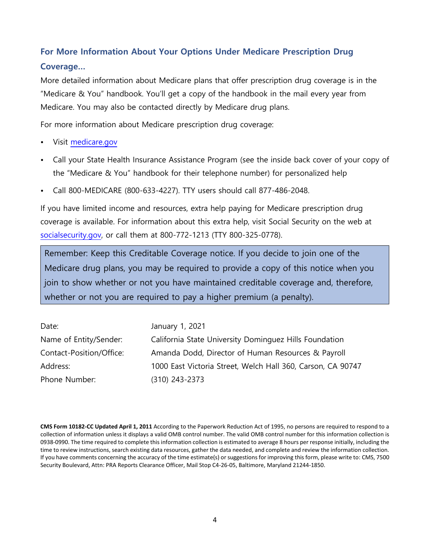#### **For More Information About Your Options Under Medicare Prescription Drug Coverage…**

More detailed information about Medicare plans that offer prescription drug coverage is in the "Medicare & You" handbook. You'll get a copy of the handbook in the mail every year from Medicare. You may also be contacted directly by Medicare drug plans.

For more information about Medicare prescription drug coverage:

- Visit [medicare.gov](http://www.medicare.gov/)
- Call your State Health Insurance Assistance Program (see the inside back cover of your copy of the "Medicare & You" handbook for their telephone number) for personalized help
- Call 800-MEDICARE (800-633-4227). TTY users should call 877-486-2048.

If you have limited income and resources, extra help paying for Medicare prescription drug coverage is available. For information about this extra help, visit Social Security on the web at [socialsecurity.gov,](http://www.socialsecurity.gov/) or call them at 800-772-1213 (TTY 800-325-0778).

Remember: Keep this Creditable Coverage notice. If you decide to join one of the Medicare drug plans, you may be required to provide a copy of this notice when you join to show whether or not you have maintained creditable coverage and, therefore, whether or not you are required to pay a higher premium (a penalty).

| Date:                    | January 1, 2021                                             |
|--------------------------|-------------------------------------------------------------|
| Name of Entity/Sender:   | California State University Dominguez Hills Foundation      |
| Contact-Position/Office: | Amanda Dodd, Director of Human Resources & Payroll          |
| Address:                 | 1000 East Victoria Street, Welch Hall 360, Carson, CA 90747 |
| Phone Number:            | $(310)$ 243-2373                                            |

**CMS Form 10182-CC Updated April 1, 2011** According to the Paperwork Reduction Act of 1995, no persons are required to respond to a collection of information unless it displays a valid OMB control number. The valid OMB control number for this information collection is 0938-0990. The time required to complete this information collection is estimated to average 8 hours per response initially, including the time to review instructions, search existing data resources, gather the data needed, and complete and review the information collection. If you have comments concerning the accuracy of the time estimate(s) or suggestions for improving this form, please write to: CMS, 7500 Security Boulevard, Attn: PRA Reports Clearance Officer, Mail Stop C4-26-05, Baltimore, Maryland 21244-1850.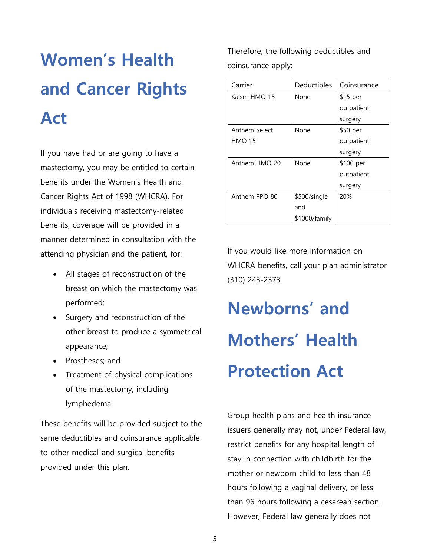# <span id="page-4-0"></span>**Women's Health and Cancer Rights Act**

If you have had or are going to have a mastectomy, you may be entitled to certain benefits under the Women's Health and Cancer Rights Act of 1998 (WHCRA). For individuals receiving mastectomy-related benefits, coverage will be provided in a manner determined in consultation with the attending physician and the patient, for:

- All stages of reconstruction of the breast on which the mastectomy was performed;
- Surgery and reconstruction of the other breast to produce a symmetrical appearance;
- Prostheses: and
- Treatment of physical complications of the mastectomy, including lymphedema.

These benefits will be provided subject to the same deductibles and coinsurance applicable to other medical and surgical benefits provided under this plan.

Therefore, the following deductibles and coinsurance apply:

| Carrier       | Deductibles   | Coinsurance |
|---------------|---------------|-------------|
| Kaiser HMO 15 | None          | \$15 per    |
|               |               | outpatient  |
|               |               | surgery     |
| Anthem Select | None          | \$50 per    |
| <b>HMO 15</b> |               | outpatient  |
|               |               | surgery     |
| Anthem HMO 20 | None          | \$100 per   |
|               |               | outpatient  |
|               |               | surgery     |
| Anthem PPO 80 | \$500/single  | 20%         |
|               | and           |             |
|               | \$1000/family |             |

If you would like more information on WHCRA benefits, call your plan administrator (310) 243-2373

# <span id="page-4-1"></span>**Newborns' and Mothers' Health Protection Act**

Group health plans and health insurance issuers generally may not, under Federal law, restrict benefits for any hospital length of stay in connection with childbirth for the mother or newborn child to less than 48 hours following a vaginal delivery, or less than 96 hours following a cesarean section. However, Federal law generally does not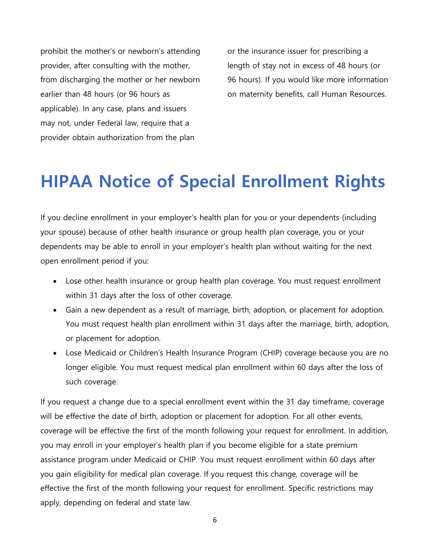prohibit the mother's or newborn's attending provider, after consulting with the mother, from discharging the mother or her newborn earlier than 48 hours (or 96 hours as applicable). In any case, plans and issuers may not, under Federal law, require that a provider obtain authorization from the plan

or the insurance issuer for prescribing a length of stay not in excess of 48 hours (or 96 hours). If you would like more information on maternity benefits, call Human Resources.

### <span id="page-5-0"></span>**HIPAA Notice of Special Enrollment Rights**

If you decline enrollment in your employer's health plan for you or your dependents (including your spouse) because of other health insurance or group health plan coverage, you or your dependents may be able to enroll in your employer's health plan without waiting for the next open enrollment period if you:

- Lose other health insurance or group health plan coverage. You must request enrollment within 31 days after the loss of other coverage.
- Gain a new dependent as a result of marriage, birth, adoption, or placement for adoption. You must request health plan enrollment within 31 days after the marriage, birth, adoption, or placement for adoption.
- Lose Medicaid or Children's Health Insurance Program (CHIP) coverage because you are no longer eligible. You must request medical plan enrollment within 60 days after the loss of such coverage.

If you request a change due to a special enrollment event within the 31 day timeframe, coverage will be effective the date of birth, adoption or placement for adoption. For all other events, coverage will be effective the first of the month following your request for enrollment. In addition, you may enroll in your employer's health plan if you become eligible for a state premium assistance program under Medicaid or CHIP. You must request enrollment within 60 days after you gain eligibility for medical plan coverage. If you request this change, coverage will be effective the first of the month following your request for enrollment. Specific restrictions may apply, depending on federal and state law.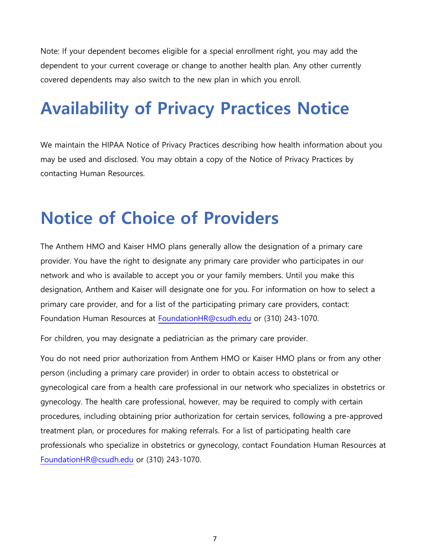Note: If your dependent becomes eligible for a special enrollment right, you may add the dependent to your current coverage or change to another health plan. Any other currently covered dependents may also switch to the new plan in which you enroll.

## <span id="page-6-0"></span>**Availability of Privacy Practices Notice**

We maintain the HIPAA Notice of Privacy Practices describing how health information about you may be used and disclosed. You may obtain a copy of the Notice of Privacy Practices by contacting Human Resources.

### <span id="page-6-1"></span>**Notice of Choice of Providers**

The Anthem HMO and Kaiser HMO plans generally allow the designation of a primary care provider. You have the right to designate any primary care provider who participates in our network and who is available to accept you or your family members. Until you make this designation, Anthem and Kaiser will designate one for you. For information on how to select a primary care provider, and for a list of the participating primary care providers, contact: Foundation Human Resources at [FoundationHR@csudh.edu](mailto:FoundationHR@csudh.edu) or (310) 243-1070.

For children, you may designate a pediatrician as the primary care provider.

You do not need prior authorization from Anthem HMO or Kaiser HMO plans or from any other person (including a primary care provider) in order to obtain access to obstetrical or gynecological care from a health care professional in our network who specializes in obstetrics or gynecology. The health care professional, however, may be required to comply with certain procedures, including obtaining prior authorization for certain services, following a pre-approved treatment plan, or procedures for making referrals. For a list of participating health care professionals who specialize in obstetrics or gynecology, contact Foundation Human Resources at [FoundationHR@csudh.edu](mailto:FoundationHR@csudh.edu) or (310) 243-1070.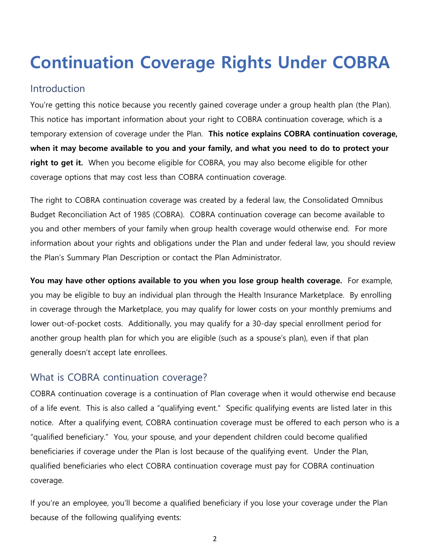# <span id="page-7-0"></span>**Continuation Coverage Rights Under COBRA**

#### **Introduction**

You're getting this notice because you recently gained coverage under a group health plan (the Plan). This notice has important information about your right to COBRA continuation coverage, which is a temporary extension of coverage under the Plan. **This notice explains COBRA continuation coverage, when it may become available to you and your family, and what you need to do to protect your right to get it.** When you become eligible for COBRA, you may also become eligible for other coverage options that may cost less than COBRA continuation coverage.

The right to COBRA continuation coverage was created by a federal law, the Consolidated Omnibus Budget Reconciliation Act of 1985 (COBRA). COBRA continuation coverage can become available to you and other members of your family when group health coverage would otherwise end. For more information about your rights and obligations under the Plan and under federal law, you should review the Plan's Summary Plan Description or contact the Plan Administrator.

**You may have other options available to you when you lose group health coverage.** For example, you may be eligible to buy an individual plan through the Health Insurance Marketplace. By enrolling in coverage through the Marketplace, you may qualify for lower costs on your monthly premiums and lower out-of-pocket costs. Additionally, you may qualify for a 30-day special enrollment period for another group health plan for which you are eligible (such as a spouse's plan), even if that plan generally doesn't accept late enrollees.

#### What is COBRA continuation coverage?

COBRA continuation coverage is a continuation of Plan coverage when it would otherwise end because of a life event. This is also called a "qualifying event." Specific qualifying events are listed later in this notice. After a qualifying event, COBRA continuation coverage must be offered to each person who is a "qualified beneficiary." You, your spouse, and your dependent children could become qualified beneficiaries if coverage under the Plan is lost because of the qualifying event. Under the Plan, qualified beneficiaries who elect COBRA continuation coverage must pay for COBRA continuation coverage.

If you're an employee, you'll become a qualified beneficiary if you lose your coverage under the Plan because of the following qualifying events: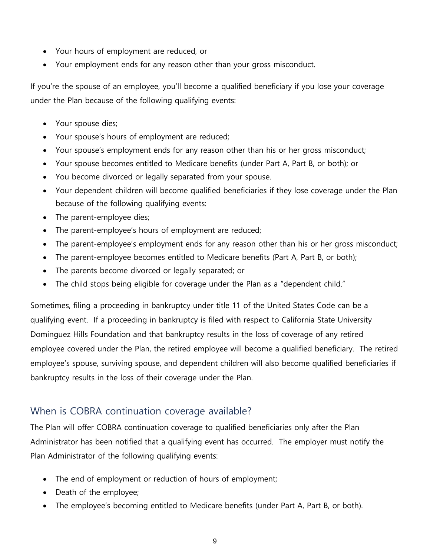- Your hours of employment are reduced, or
- Your employment ends for any reason other than your gross misconduct.

If you're the spouse of an employee, you'll become a qualified beneficiary if you lose your coverage under the Plan because of the following qualifying events:

- Your spouse dies;
- Your spouse's hours of employment are reduced;
- Your spouse's employment ends for any reason other than his or her gross misconduct;
- Your spouse becomes entitled to Medicare benefits (under Part A, Part B, or both); or
- You become divorced or legally separated from your spouse.
- Your dependent children will become qualified beneficiaries if they lose coverage under the Plan because of the following qualifying events:
- The parent-employee dies;
- The parent-employee's hours of employment are reduced;
- The parent-employee's employment ends for any reason other than his or her gross misconduct;
- The parent-employee becomes entitled to Medicare benefits (Part A, Part B, or both);
- The parents become divorced or legally separated; or
- The child stops being eligible for coverage under the Plan as a "dependent child."

Sometimes, filing a proceeding in bankruptcy under title 11 of the United States Code can be a qualifying event. If a proceeding in bankruptcy is filed with respect to California State University Dominguez Hills Foundation and that bankruptcy results in the loss of coverage of any retired employee covered under the Plan, the retired employee will become a qualified beneficiary. The retired employee's spouse, surviving spouse, and dependent children will also become qualified beneficiaries if bankruptcy results in the loss of their coverage under the Plan.

#### When is COBRA continuation coverage available?

The Plan will offer COBRA continuation coverage to qualified beneficiaries only after the Plan Administrator has been notified that a qualifying event has occurred. The employer must notify the Plan Administrator of the following qualifying events:

- The end of employment or reduction of hours of employment;
- Death of the employee;
- The employee's becoming entitled to Medicare benefits (under Part A, Part B, or both).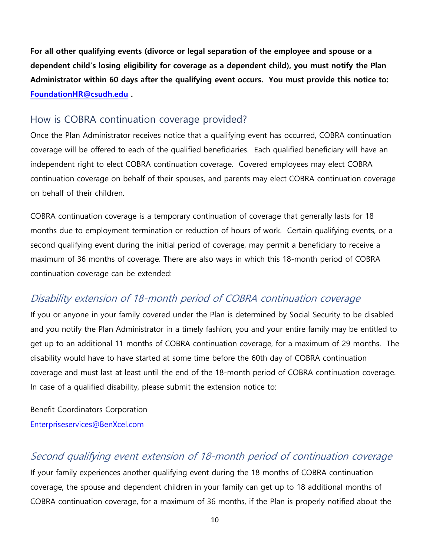**For all other qualifying events (divorce or legal separation of the employee and spouse or a dependent child's losing eligibility for coverage as a dependent child), you must notify the Plan Administrator within 60 days after the qualifying event occurs. You must provide this notice to: [FoundationHR@csudh.edu](mailto:FoundationHR@csudh.edu) .**

#### How is COBRA continuation coverage provided?

Once the Plan Administrator receives notice that a qualifying event has occurred, COBRA continuation coverage will be offered to each of the qualified beneficiaries. Each qualified beneficiary will have an independent right to elect COBRA continuation coverage. Covered employees may elect COBRA continuation coverage on behalf of their spouses, and parents may elect COBRA continuation coverage on behalf of their children.

COBRA continuation coverage is a temporary continuation of coverage that generally lasts for 18 months due to employment termination or reduction of hours of work. Certain qualifying events, or a second qualifying event during the initial period of coverage, may permit a beneficiary to receive a maximum of 36 months of coverage. There are also ways in which this 18-month period of COBRA continuation coverage can be extended:

#### Disability extension of 18-month period of COBRA continuation coverage

If you or anyone in your family covered under the Plan is determined by Social Security to be disabled and you notify the Plan Administrator in a timely fashion, you and your entire family may be entitled to get up to an additional 11 months of COBRA continuation coverage, for a maximum of 29 months. The disability would have to have started at some time before the 60th day of COBRA continuation coverage and must last at least until the end of the 18-month period of COBRA continuation coverage. In case of a qualified disability, please submit the extension notice to:

Benefit Coordinators Corporation [Enterpriseservices@BenXcel.com](mailto:Enterpriseservices@BenXcel.com)

#### Second qualifying event extension of 18-month period of continuation coverage

If your family experiences another qualifying event during the 18 months of COBRA continuation coverage, the spouse and dependent children in your family can get up to 18 additional months of COBRA continuation coverage, for a maximum of 36 months, if the Plan is properly notified about the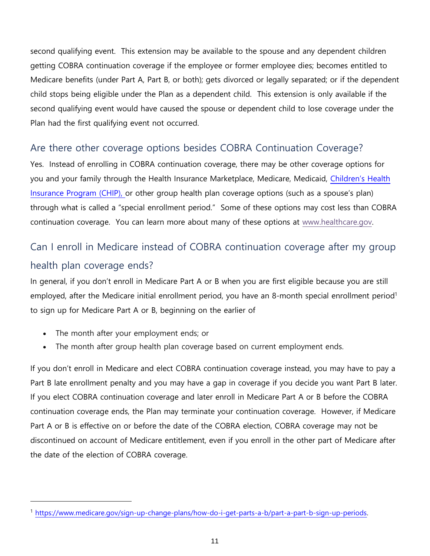second qualifying event. This extension may be available to the spouse and any dependent children getting COBRA continuation coverage if the employee or former employee dies; becomes entitled to Medicare benefits (under Part A, Part B, or both); gets divorced or legally separated; or if the dependent child stops being eligible under the Plan as a dependent child. This extension is only available if the second qualifying event would have caused the spouse or dependent child to lose coverage under the Plan had the first qualifying event not occurred.

#### Are there other coverage options besides COBRA Continuation Coverage?

Yes. Instead of enrolling in COBRA continuation coverage, there may be other coverage options for you and your family through the Health Insurance Marketplace, Medicare, Medicaid, [Children's Health](https://www.healthcare.gov/are-my-children-eligible-for-chip)  [Insurance Program \(CHIP\),](https://www.healthcare.gov/are-my-children-eligible-for-chip) or other group health plan coverage options (such as a spouse's plan) through what is called a "special enrollment period." Some of these options may cost less than COBRA continuation coverage. You can learn more about many of these options at [www.healthcare.gov.](https://www.dol.gov/ebsa/www.healthcare.gov)

#### Can I enroll in Medicare instead of COBRA continuation coverage after my group health plan coverage ends?

In general, if you don't enroll in Medicare Part A or B when you are first eligible because you are still employed, after the Medicare initial enrollment period, you have an 8-month special enrollment period<sup>1</sup> to sign up for Medicare Part A or B, beginning on the earlier of

The month after your employment ends; or

 $\overline{a}$ 

• The month after group health plan coverage based on current employment ends.

If you don't enroll in Medicare and elect COBRA continuation coverage instead, you may have to pay a Part B late enrollment penalty and you may have a gap in coverage if you decide you want Part B later. If you elect COBRA continuation coverage and later enroll in Medicare Part A or B before the COBRA continuation coverage ends, the Plan may terminate your continuation coverage. However, if Medicare Part A or B is effective on or before the date of the COBRA election, COBRA coverage may not be discontinued on account of Medicare entitlement, even if you enroll in the other part of Medicare after the date of the election of COBRA coverage.

<sup>1</sup> [https://www.medicare.gov/sign-up-change-plans/how-do-i-get-parts-a-b/part-a-part-b-sign-up-periods.](https://www.medicare.gov/sign-up-change-plans/how-do-i-get-parts-a-b/part-a-part-b-sign-up-periods)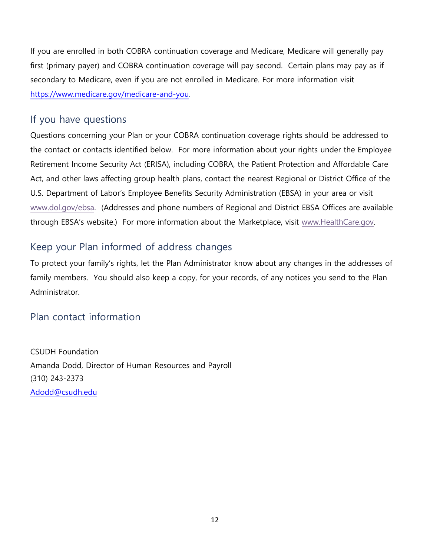If you are enrolled in both COBRA continuation coverage and Medicare, Medicare will generally pay first (primary payer) and COBRA continuation coverage will pay second. Certain plans may pay as if secondary to Medicare, even if you are not enrolled in Medicare. For more information visit [https://www.medicare.gov/medicare-and-you.](https://www.medicare.gov/medicare-and-you)

#### If you have questions

Questions concerning your Plan or your COBRA continuation coverage rights should be addressed to the contact or contacts identified below. For more information about your rights under the Employee Retirement Income Security Act (ERISA), including COBRA, the Patient Protection and Affordable Care Act, and other laws affecting group health plans, contact the nearest Regional or District Office of the U.S. Department of Labor's Employee Benefits Security Administration (EBSA) in your area or visit [www.dol.gov/ebsa.](http://www.dol.gov/ebsa) (Addresses and phone numbers of Regional and District EBSA Offices are available through EBSA's website.) For more information about the Marketplace, visit [www.HealthCare.gov.](http://www.healthcare.gov/)

#### Keep your Plan informed of address changes

To protect your family's rights, let the Plan Administrator know about any changes in the addresses of family members.You should also keep a copy, for your records, of any notices you send to the Plan Administrator.

#### Plan contact information

CSUDH Foundation Amanda Dodd, Director of Human Resources and Payroll (310) 243-2373 [Adodd@csudh.edu](mailto:Adodd@csudh.edu)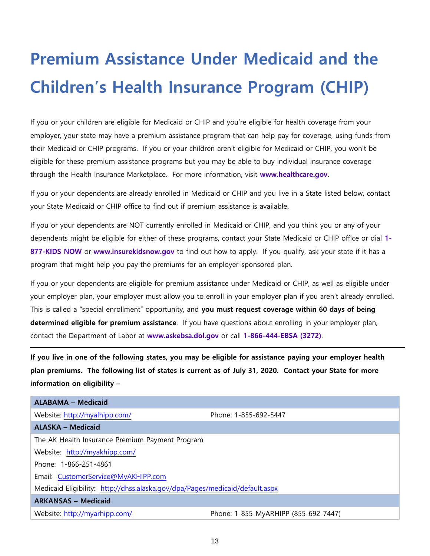# <span id="page-12-0"></span>**Premium Assistance Under Medicaid and the Children's Health Insurance Program (CHIP)**

If you or your children are eligible for Medicaid or CHIP and you're eligible for health coverage from your employer, your state may have a premium assistance program that can help pay for coverage, using funds from their Medicaid or CHIP programs. If you or your children aren't eligible for Medicaid or CHIP, you won't be eligible for these premium assistance programs but you may be able to buy individual insurance coverage through the Health Insurance Marketplace. For more information, visit **[www.healthcare.gov](http://www.healthcare.gov/)**.

If you or your dependents are already enrolled in Medicaid or CHIP and you live in a State listed below, contact your State Medicaid or CHIP office to find out if premium assistance is available.

If you or your dependents are NOT currently enrolled in Medicaid or CHIP, and you think you or any of your dependents might be eligible for either of these programs, contact your State Medicaid or CHIP office or dial **1- 877-KIDS NOW** or **[www.insurekidsnow.gov](http://www.insurekidsnow.gov/)** to find out how to apply. If you qualify, ask your state if it has a program that might help you pay the premiums for an employer-sponsored plan.

If you or your dependents are eligible for premium assistance under Medicaid or CHIP, as well as eligible under your employer plan, your employer must allow you to enroll in your employer plan if you aren't already enrolled. This is called a "special enrollment" opportunity, and **you must request coverage within 60 days of being determined eligible for premium assistance**. If you have questions about enrolling in your employer plan, contact the Department of Labor at **[www.askebsa.dol.gov](http://www.askebsa.dol.gov/)** or call **1-866-444-EBSA (3272)**.

**If you live in one of the following states, you may be eligible for assistance paying your employer health plan premiums. The following list of states is current as of July 31, 2020. Contact your State for more information on eligibility –**

| ALABAMA - Medicaid                                                           |                                      |  |
|------------------------------------------------------------------------------|--------------------------------------|--|
| Website: http://myalhipp.com/                                                | Phone: 1-855-692-5447                |  |
| <b>ALASKA - Medicaid</b>                                                     |                                      |  |
| The AK Health Insurance Premium Payment Program                              |                                      |  |
| Website: http://myakhipp.com/                                                |                                      |  |
| Phone: 1-866-251-4861                                                        |                                      |  |
| Email: CustomerService@MyAKHIPP.com                                          |                                      |  |
| Medicaid Eligibility: http://dhss.alaska.gov/dpa/Pages/medicaid/default.aspx |                                      |  |
| <b>ARKANSAS - Medicaid</b>                                                   |                                      |  |
| Website: http://myarhipp.com/                                                | Phone: 1-855-MyARHIPP (855-692-7447) |  |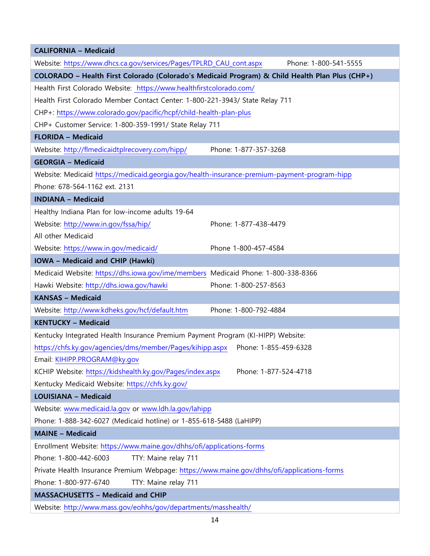| <b>CALIFORNIA - Medicaid</b>                                                                   |  |  |
|------------------------------------------------------------------------------------------------|--|--|
| Website: https://www.dhcs.ca.gov/services/Pages/TPLRD_CAU_cont.aspx<br>Phone: 1-800-541-5555   |  |  |
| COLORADO - Health First Colorado (Colorado's Medicaid Program) & Child Health Plan Plus (CHP+) |  |  |
| Health First Colorado Website: https://www.healthfirstcolorado.com/                            |  |  |
| Health First Colorado Member Contact Center: 1-800-221-3943/ State Relay 711                   |  |  |
| CHP+: https://www.colorado.gov/pacific/hcpf/child-health-plan-plus                             |  |  |
| CHP+ Customer Service: 1-800-359-1991/ State Relay 711                                         |  |  |
| <b>FLORIDA - Medicaid</b>                                                                      |  |  |
| Website: http://flmedicaidtplrecovery.com/hipp/<br>Phone: 1-877-357-3268                       |  |  |
| <b>GEORGIA - Medicaid</b>                                                                      |  |  |
| Website: Medicaid https://medicaid.georgia.gov/health-insurance-premium-payment-program-hipp   |  |  |
| Phone: 678-564-1162 ext. 2131                                                                  |  |  |
| <b>INDIANA - Medicaid</b>                                                                      |  |  |
| Healthy Indiana Plan for low-income adults 19-64                                               |  |  |
| Phone: 1-877-438-4479<br>Website: http://www.in.gov/fssa/hip/                                  |  |  |
| All other Medicaid                                                                             |  |  |
| Website: https://www.in.gov/medicaid/<br>Phone 1-800-457-4584                                  |  |  |
| <b>IOWA - Medicaid and CHIP (Hawki)</b>                                                        |  |  |
| Medicaid Website: https://dhs.iowa.gov/ime/members Medicaid Phone: 1-800-338-8366              |  |  |
| Hawki Website: http://dhs.iowa.gov/hawki<br>Phone: 1-800-257-8563                              |  |  |
| <b>KANSAS - Medicaid</b>                                                                       |  |  |
| Website: http://www.kdheks.gov/hcf/default.htm<br>Phone: 1-800-792-4884                        |  |  |
| <b>KENTUCKY - Medicaid</b>                                                                     |  |  |
| Kentucky Integrated Health Insurance Premium Payment Program (KI-HIPP) Website:                |  |  |
| https://chfs.ky.gov/agencies/dms/member/Pages/kihipp.aspx<br>Phone: 1-855-459-6328             |  |  |
| Email: KIHIPP.PROGRAM@ky.gov                                                                   |  |  |
| KCHIP Website: https://kidshealth.ky.gov/Pages/index.aspx<br>Phone: 1-877-524-4718             |  |  |
| Kentucky Medicaid Website: https://chfs.ky.gov/                                                |  |  |
| <b>LOUISIANA - Medicaid</b>                                                                    |  |  |
| Website: www.medicaid.la.gov or www.ldh.la.gov/lahipp                                          |  |  |
| Phone: 1-888-342-6027 (Medicaid hotline) or 1-855-618-5488 (LaHIPP)                            |  |  |
| <b>MAINE - Medicaid</b>                                                                        |  |  |
| Enrollment Website: https://www.maine.gov/dhhs/ofi/applications-forms                          |  |  |
| Phone: 1-800-442-6003<br>TTY: Maine relay 711                                                  |  |  |
| Private Health Insurance Premium Webpage: https://www.maine.gov/dhhs/ofi/applications-forms    |  |  |
| Phone: 1-800-977-6740<br>TTY: Maine relay 711                                                  |  |  |
| <b>MASSACHUSETTS - Medicaid and CHIP</b>                                                       |  |  |
| Website: http://www.mass.gov/eohhs/gov/departments/masshealth/                                 |  |  |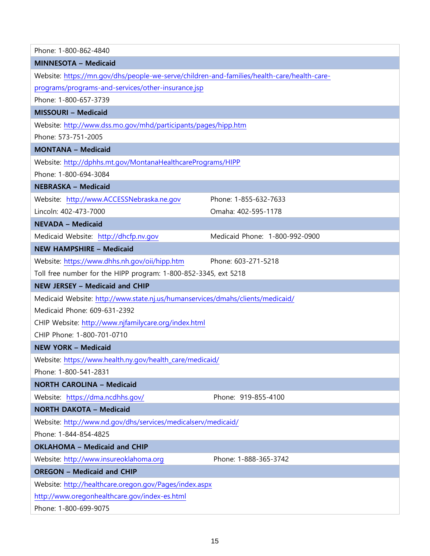| Phone: 1-800-862-4840                                                                      |                                |  |  |
|--------------------------------------------------------------------------------------------|--------------------------------|--|--|
| <b>MINNESOTA - Medicaid</b>                                                                |                                |  |  |
| Website: https://mn.gov/dhs/people-we-serve/children-and-families/health-care/health-care- |                                |  |  |
| programs/programs-and-services/other-insurance.jsp                                         |                                |  |  |
| Phone: 1-800-657-3739                                                                      |                                |  |  |
| <b>MISSOURI - Medicaid</b>                                                                 |                                |  |  |
| Website: http://www.dss.mo.gov/mhd/participants/pages/hipp.htm                             |                                |  |  |
| Phone: 573-751-2005                                                                        |                                |  |  |
| <b>MONTANA - Medicaid</b>                                                                  |                                |  |  |
| Website: http://dphhs.mt.gov/MontanaHealthcarePrograms/HIPP                                |                                |  |  |
| Phone: 1-800-694-3084                                                                      |                                |  |  |
| <b>NEBRASKA - Medicaid</b>                                                                 |                                |  |  |
| Website: http://www.ACCESSNebraska.ne.gov                                                  | Phone: 1-855-632-7633          |  |  |
| Lincoln: 402-473-7000                                                                      | Omaha: 402-595-1178            |  |  |
| <b>NEVADA - Medicaid</b>                                                                   |                                |  |  |
| Medicaid Website: http://dhcfp.nv.gov                                                      | Medicaid Phone: 1-800-992-0900 |  |  |
| <b>NEW HAMPSHIRE - Medicaid</b>                                                            |                                |  |  |
| Website: https://www.dhhs.nh.gov/oii/hipp.htm                                              | Phone: 603-271-5218            |  |  |
| Toll free number for the HIPP program: 1-800-852-3345, ext 5218                            |                                |  |  |
| <b>NEW JERSEY - Medicaid and CHIP</b>                                                      |                                |  |  |
| Medicaid Website: http://www.state.nj.us/humanservices/dmahs/clients/medicaid/             |                                |  |  |
| Medicaid Phone: 609-631-2392                                                               |                                |  |  |
| CHIP Website: http://www.njfamilycare.org/index.html                                       |                                |  |  |
| CHIP Phone: 1-800-701-0710                                                                 |                                |  |  |
| <b>NEW YORK - Medicaid</b>                                                                 |                                |  |  |
| Website: https://www.health.ny.gov/health_care/medicaid/                                   |                                |  |  |
| Phone: 1-800-541-2831                                                                      |                                |  |  |
| <b>NORTH CAROLINA - Medicaid</b>                                                           |                                |  |  |
| Website: https://dma.ncdhhs.gov/                                                           | Phone: 919-855-4100            |  |  |
| <b>NORTH DAKOTA - Medicaid</b>                                                             |                                |  |  |
| Website: http://www.nd.gov/dhs/services/medicalserv/medicaid/                              |                                |  |  |
| Phone: 1-844-854-4825                                                                      |                                |  |  |
| <b>OKLAHOMA - Medicaid and CHIP</b>                                                        |                                |  |  |
| Website: http://www.insureoklahoma.org                                                     | Phone: 1-888-365-3742          |  |  |
| <b>OREGON - Medicaid and CHIP</b>                                                          |                                |  |  |
| Website: http://healthcare.oregon.gov/Pages/index.aspx                                     |                                |  |  |
| http://www.oregonhealthcare.gov/index-es.html                                              |                                |  |  |
| Phone: 1-800-699-9075                                                                      |                                |  |  |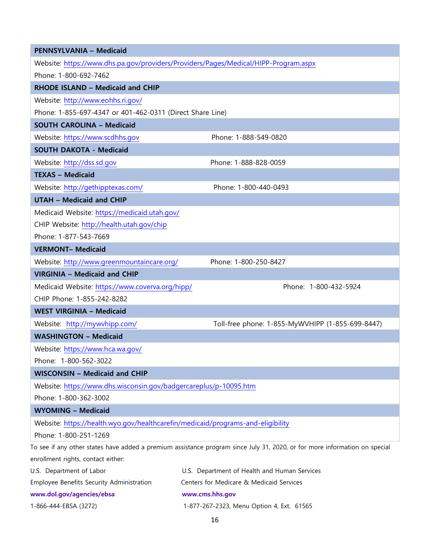| <b>PENNSYLVANIA - Medicaid</b>                                                      |                                                                                                                            |
|-------------------------------------------------------------------------------------|----------------------------------------------------------------------------------------------------------------------------|
| Website: https://www.dhs.pa.gov/providers/Providers/Pages/Medical/HIPP-Program.aspx |                                                                                                                            |
| Phone: 1-800-692-7462                                                               |                                                                                                                            |
| <b>RHODE ISLAND - Medicaid and CHIP</b>                                             |                                                                                                                            |
| Website: http://www.eohhs.ri.gov/                                                   |                                                                                                                            |
| Phone: 1-855-697-4347 or 401-462-0311 (Direct Share Line)                           |                                                                                                                            |
| <b>SOUTH CAROLINA - Medicaid</b>                                                    |                                                                                                                            |
| Website: https://www.scdhhs.gov                                                     | Phone: 1-888-549-0820                                                                                                      |
| <b>SOUTH DAKOTA - Medicaid</b>                                                      |                                                                                                                            |
| Website: http://dss.sd.gov                                                          | Phone: 1-888-828-0059                                                                                                      |
| <b>TEXAS - Medicaid</b>                                                             |                                                                                                                            |
| Website: http://gethipptexas.com/                                                   | Phone: 1-800-440-0493                                                                                                      |
| <b>UTAH - Medicaid and CHIP</b>                                                     |                                                                                                                            |
| Medicaid Website: https://medicaid.utah.gov/                                        |                                                                                                                            |
| CHIP Website: http://health.utah.gov/chip                                           |                                                                                                                            |
| Phone: 1-877-543-7669                                                               |                                                                                                                            |
| <b>VERMONT- Medicaid</b>                                                            |                                                                                                                            |
| Website: http://www.greenmountaincare.org/                                          | Phone: 1-800-250-8427                                                                                                      |
| <b>VIRGINIA - Medicaid and CHIP</b>                                                 |                                                                                                                            |
| Medicaid Website: https://www.coverva.org/hipp/                                     | Phone: 1-800-432-5924                                                                                                      |
| CHIP Phone: 1-855-242-8282                                                          |                                                                                                                            |
| <b>WEST VIRGINIA - Medicaid</b>                                                     |                                                                                                                            |
| Website: http://mywvhipp.com/                                                       | Toll-free phone: 1-855-MyWVHIPP (1-855-699-8447)                                                                           |
| <b>WASHINGTON - Medicaid</b>                                                        |                                                                                                                            |
| Website: https://www.hca.wa.gov/                                                    |                                                                                                                            |
| Phone: 1-800-562-3022                                                               |                                                                                                                            |
| <b>WISCONSIN - Medicaid and CHIP</b>                                                |                                                                                                                            |
| Website: https://www.dhs.wisconsin.gov/badgercareplus/p-10095.htm                   |                                                                                                                            |
| Phone: 1-800-362-3002                                                               |                                                                                                                            |
| <b>WYOMING - Medicaid</b>                                                           |                                                                                                                            |
| Website: https://health.wyo.gov/healthcarefin/medicaid/programs-and-eligibility     |                                                                                                                            |
| Phone: 1-800-251-1269                                                               |                                                                                                                            |
|                                                                                     | To see if any other states have added a premium assistance program since July 31, 2020, or for more information on special |
| enrollment rights, contact either:                                                  |                                                                                                                            |
| U.S. Department of Labor                                                            | U.S. Department of Health and Human Services                                                                               |
| Employee Benefits Security Administration                                           |                                                                                                                            |
|                                                                                     | Centers for Medicare & Medicaid Services                                                                                   |
| www.dol.gov/agencies/ebsa                                                           | www.cms.hhs.gov                                                                                                            |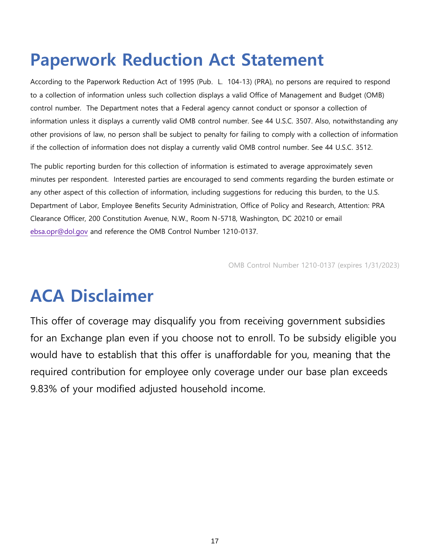## <span id="page-16-0"></span>**Paperwork Reduction Act Statement**

According to the Paperwork Reduction Act of 1995 (Pub. L. 104-13) (PRA), no persons are required to respond to a collection of information unless such collection displays a valid Office of Management and Budget (OMB) control number. The Department notes that a Federal agency cannot conduct or sponsor a collection of information unless it displays a currently valid OMB control number. See 44 U.S.C. 3507. Also, notwithstanding any other provisions of law, no person shall be subject to penalty for failing to comply with a collection of information if the collection of information does not display a currently valid OMB control number. See 44 U.S.C. 3512.

The public reporting burden for this collection of information is estimated to average approximately seven minutes per respondent. Interested parties are encouraged to send comments regarding the burden estimate or any other aspect of this collection of information, including suggestions for reducing this burden, to the U.S. Department of Labor, Employee Benefits Security Administration, Office of Policy and Research, Attention: PRA Clearance Officer, 200 Constitution Avenue, N.W., Room N-5718, Washington, DC 20210 or email [ebsa.opr@dol.gov](mailto:ebsa.opr@dol.gov) and reference the OMB Control Number 1210-0137.

OMB Control Number 1210-0137 (expires 1/31/2023)

### <span id="page-16-1"></span>**ACA Disclaimer**

This offer of coverage may disqualify you from receiving government subsidies for an Exchange plan even if you choose not to enroll. To be subsidy eligible you would have to establish that this offer is unaffordable for you, meaning that the required contribution for employee only coverage under our base plan exceeds 9.83% of your modified adjusted household income.